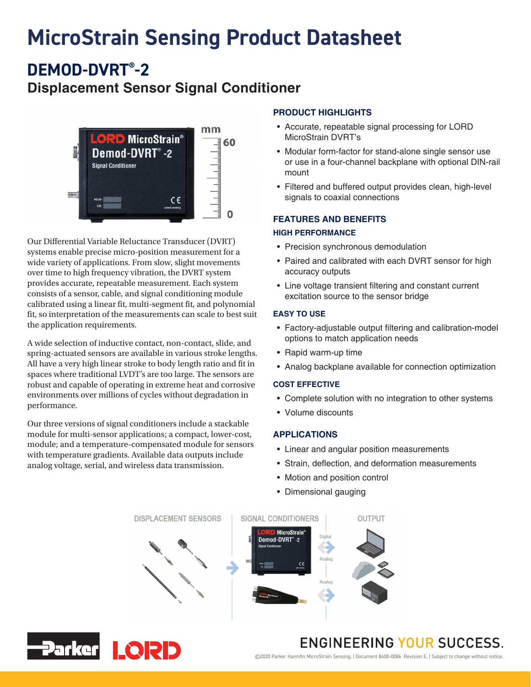# **MicroStrain Sensing Product Datasheet**

**DEMOD-DVRT® -2**

### **Displacement Sensor Signal Conditioner**



Our Differential Variable Reluctance Transducer (DVRT) systems enable precise micro-position measurement for a wide variety of applications. From slow, slight movements over time to high frequency vibration, the DVRT system provides accurate, repeatable measurement. Each system consists of a sensor, cable, and signal conditioning module calibrated using a linear fit, multi-segment fit, and polynomial fit, so interpretation of the measurements can scale to best suit the application requirements.

A wide selection of inductive contact, non-contact, slide, and spring-actuated sensors are available in various stroke lengths. All have a very high linear stroke to body length ratio and fit in spaces where traditional LVDT's are too large. The sensors are robust and capable of operating in extreme heat and corrosive environments over millions of cycles without degradation in performance.

Our three versions of signal conditioners include a stackable module for multi-sensor applications; a compact, lower-cost, module; and a temperature-compensated module for sensors with temperature gradients. Available data outputs include analog voltage, serial, and wireless data transmission.

#### **PRODUCT HIGHLIGHTS**

- Accurate, repeatable signal processing for LORD MicroStrain DVRT's
- Modular form-factor for stand-alone single sensor use or use in a four-channel backplane with optional DIN-rail mount
- Filtered and buffered output provides clean, high-level signals to coaxial connections

#### **FEATURES AND BENEFITS**

#### **HIGH PERFORMANCE**

- Precision synchronous demodulation
- Paired and calibrated with each DVRT sensor for high accuracy outputs
- Line voltage transient filtering and constant current excitation source to the sensor bridge

#### **EASY TO USE**

- Factory-adjustable output filtering and calibration-model options to match application needs
- Rapid warm-up time
- Analog backplane available for connection optimization

#### **COST EFFECTIVE**

- Complete solution with no integration to other systems
- Volume discounts

#### **APPLICATIONS**

- Linear and angular position measurements
- Strain, deflection, and deformation measurements
- Motion and position control
- Dimensional gauging





### **ENGINEERING YOUR SUCCESS.**

©2020 Parker Hannifin MicroStrain Sensing. | Document 8400-0086 Revision E. | Subject to change without notice.